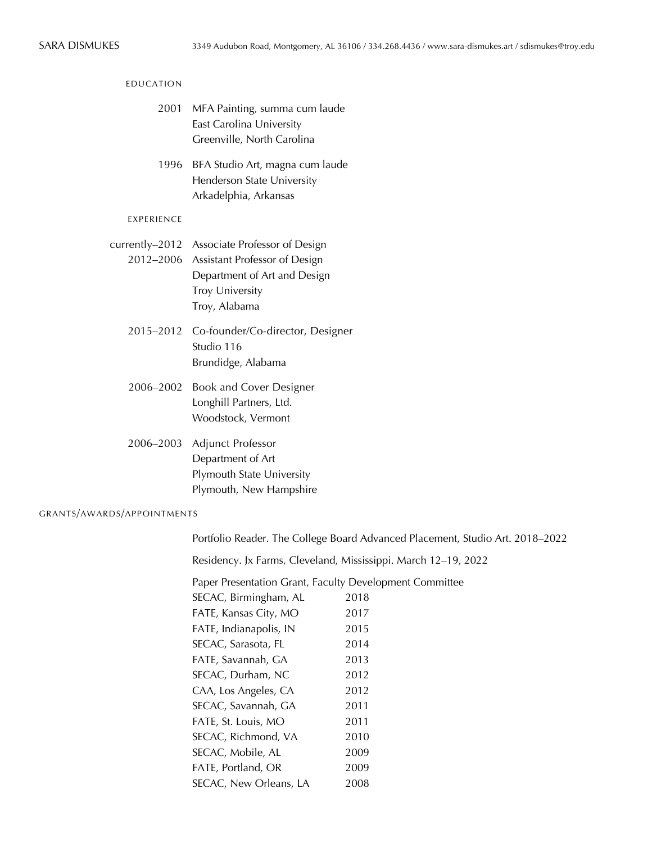| <b>EDUCATION</b>           |                                                                                                                                                                    |  |  |  |
|----------------------------|--------------------------------------------------------------------------------------------------------------------------------------------------------------------|--|--|--|
| 2001                       | MFA Painting, summa cum laude<br>East Carolina University<br>Greenville, North Carolina                                                                            |  |  |  |
| 1996                       | BFA Studio Art, magna cum laude<br>Henderson State University<br>Arkadelphia, Arkansas                                                                             |  |  |  |
| EXPERIENCE                 |                                                                                                                                                                    |  |  |  |
|                            | currently-2012 Associate Professor of Design<br>2012-2006 Assistant Professor of Design<br>Department of Art and Design<br><b>Troy University</b><br>Troy, Alabama |  |  |  |
| 2015-2012                  | Co-founder/Co-director, Designer<br>Studio 116<br>Brundidge, Alabama                                                                                               |  |  |  |
| 2006-2002                  | <b>Book and Cover Designer</b><br>Longhill Partners, Ltd.<br>Woodstock, Vermont                                                                                    |  |  |  |
| 2006-2003                  | Adjunct Professor<br>Department of Art<br>Plymouth State University<br>Plymouth, New Hampshire                                                                     |  |  |  |
| GRANTS/AWARDS/APPOINTMENTS |                                                                                                                                                                    |  |  |  |
|                            | Portfolio Reader. The College Board Advanced Placement, Studio Art. 2018-2022                                                                                      |  |  |  |
|                            |                                                                                                                                                                    |  |  |  |

Residency. Jx Farms, Cleveland, Mississippi. March 12–19, 2022

Paper Presentation Grant, Faculty Development Committee SECAC, Birmingham, AL 2018 FATE, Kansas City, MO 2017 FATE, Indianapolis, IN 2015 SECAC, Sarasota, FL 2014 FATE, Savannah, GA 2013 SECAC, Durham, NC 2012 CAA, Los Angeles, CA 2012 SECAC, Savannah, GA 2011 FATE, St. Louis, MO 2011 SECAC, Richmond, VA 2010 SECAC, Mobile, AL 2009 FATE, Portland, OR 2009 SECAC, New Orleans, LA 2008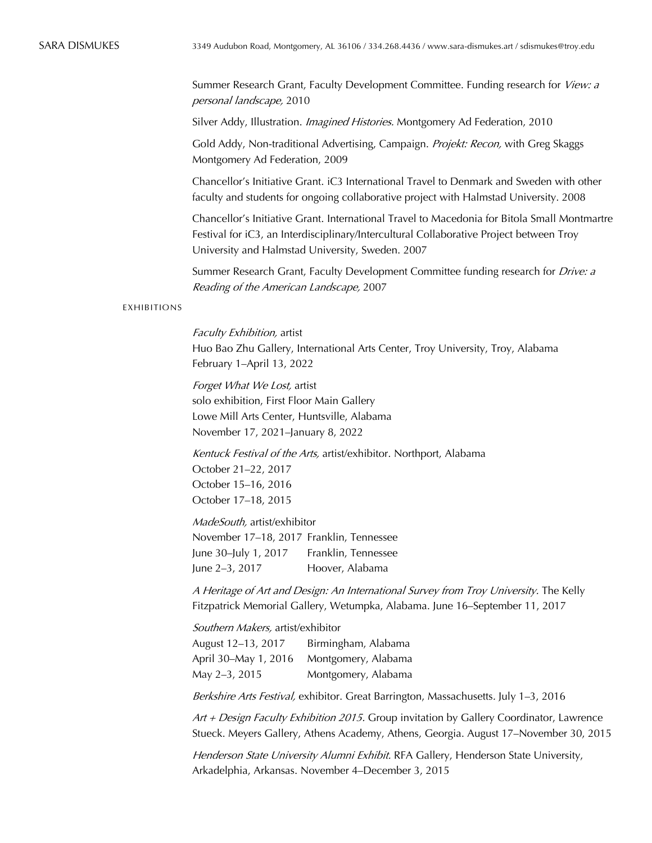Summer Research Grant, Faculty Development Committee. Funding research for View: a personal landscape, 2010

Silver Addy, Illustration. *Imagined Histories*. Montgomery Ad Federation, 2010

Gold Addy, Non-traditional Advertising, Campaign. Projekt: Recon, with Greg Skaggs Montgomery Ad Federation, 2009

Chancellor's Initiative Grant. iC3 International Travel to Denmark and Sweden with other faculty and students for ongoing collaborative project with Halmstad University. 2008

Chancellor's Initiative Grant. International Travel to Macedonia for Bitola Small Montmartre Festival for iC3, an Interdisciplinary/Intercultural Collaborative Project between Troy University and Halmstad University, Sweden. 2007

Summer Research Grant, Faculty Development Committee funding research for *Drive: a* Reading of the American Landscape, 2007

## EXHIBITIONS

Faculty Exhibition, artist Huo Bao Zhu Gallery, International Arts Center, Troy University, Troy, Alabama February 1–April 13, 2022

Forget What We Lost, artist solo exhibition, First Floor Main Gallery Lowe Mill Arts Center, Huntsville, Alabama November 17, 2021–January 8, 2022

Kentuck Festival of the Arts, artist/exhibitor. Northport, Alabama October 21–22, 2017 October 15–16, 2016 October 17–18, 2015

MadeSouth, artist/exhibitor November 17–18, 2017 Franklin, Tennessee June 30–July 1, 2017 Franklin, Tennessee June 2–3, 2017 Hoover, Alabama

A Heritage of Art and Design: An International Survey from Troy University. The Kelly Fitzpatrick Memorial Gallery, Wetumpka, Alabama. June 16–September 11, 2017

Southern Makers, artist/exhibitor August 12–13, 2017 Birmingham, Alabama April 30–May 1, 2016 Montgomery, Alabama May 2–3, 2015 Montgomery, Alabama

Berkshire Arts Festival, exhibitor. Great Barrington, Massachusetts. July 1–3, 2016

Art + Design Faculty Exhibition 2015. Group invitation by Gallery Coordinator, Lawrence Stueck. Meyers Gallery, Athens Academy, Athens, Georgia. August 17–November 30, 2015

Henderson State University Alumni Exhibit. RFA Gallery, Henderson State University, Arkadelphia, Arkansas. November 4–December 3, 2015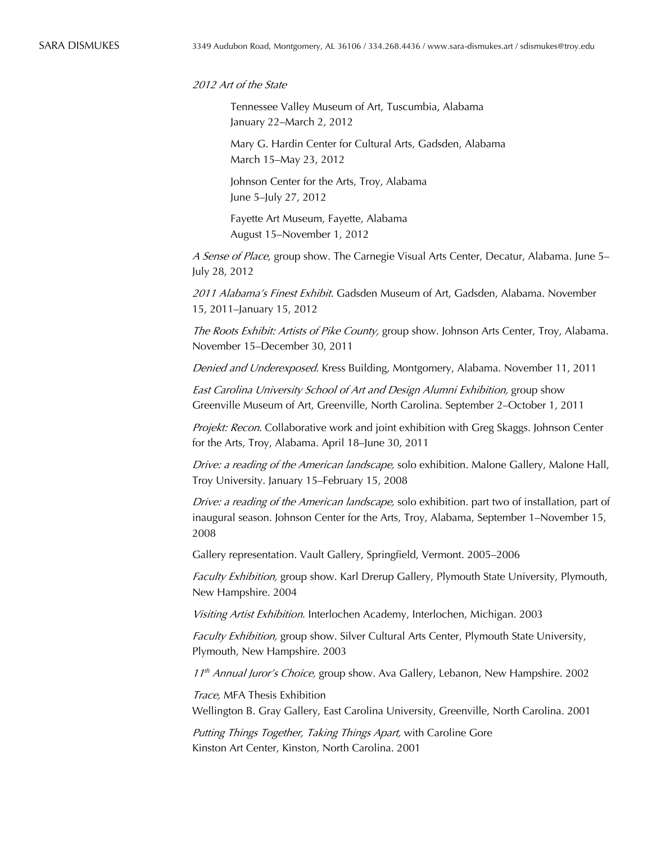2012 Art of the State

Tennessee Valley Museum of Art, Tuscumbia, Alabama January 22–March 2, 2012

Mary G. Hardin Center for Cultural Arts, Gadsden, Alabama March 15–May 23, 2012

Johnson Center for the Arts, Troy, Alabama June 5–July 27, 2012

Fayette Art Museum, Fayette, Alabama August 15–November 1, 2012

A Sense of Place, group show. The Carnegie Visual Arts Center, Decatur, Alabama. June 5– July 28, 2012

2011 Alabama's Finest Exhibit. Gadsden Museum of Art, Gadsden, Alabama. November 15, 2011–January 15, 2012

The Roots Exhibit: Artists of Pike County, group show. Johnson Arts Center, Troy, Alabama. November 15–December 30, 2011

Denied and Underexposed. Kress Building, Montgomery, Alabama. November 11, 2011

East Carolina University School of Art and Design Alumni Exhibition, group show Greenville Museum of Art, Greenville, North Carolina. September 2–October 1, 2011

Projekt: Recon. Collaborative work and joint exhibition with Greg Skaggs. Johnson Center for the Arts, Troy, Alabama. April 18–June 30, 2011

Drive: a reading of the American landscape, solo exhibition. Malone Gallery, Malone Hall, Troy University. January 15–February 15, 2008

Drive: a reading of the American landscape, solo exhibition. part two of installation, part of inaugural season. Johnson Center for the Arts, Troy, Alabama, September 1–November 15, 2008

Gallery representation. Vault Gallery, Springfield, Vermont. 2005–2006

Faculty Exhibition, group show. Karl Drerup Gallery, Plymouth State University, Plymouth, New Hampshire. 2004

Visiting Artist Exhibition. Interlochen Academy, Interlochen, Michigan. 2003

Faculty Exhibition, group show. Silver Cultural Arts Center, Plymouth State University, Plymouth, New Hampshire. 2003

 $11<sup>th</sup>$  Annual Juror's Choice, group show. Ava Gallery, Lebanon, New Hampshire. 2002

Trace, MFA Thesis Exhibition

Wellington B. Gray Gallery, East Carolina University, Greenville, North Carolina. 2001

Putting Things Together, Taking Things Apart, with Caroline Gore Kinston Art Center, Kinston, North Carolina. 2001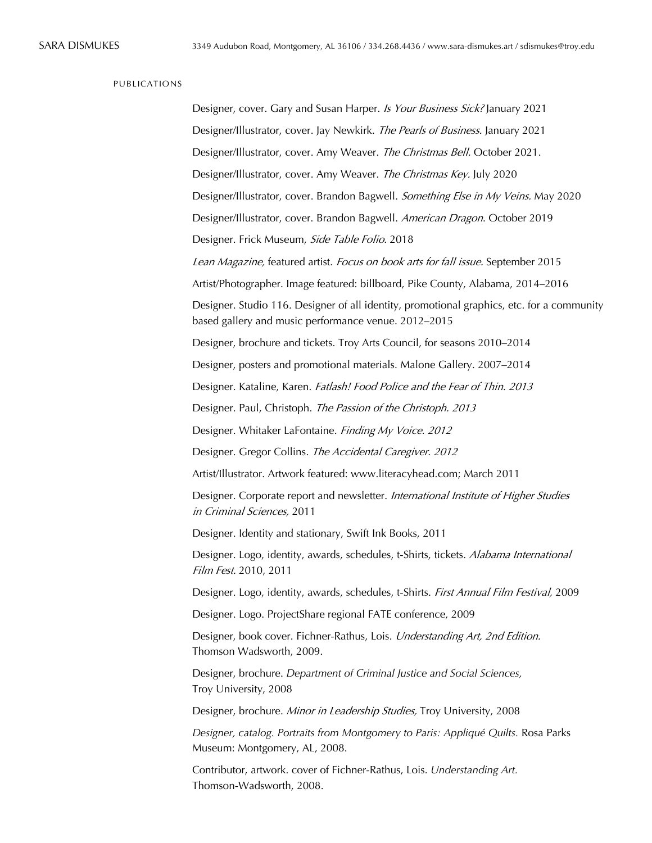| PUBLICATIONS |                                                                                                                                                    |
|--------------|----------------------------------------------------------------------------------------------------------------------------------------------------|
|              | Designer, cover. Gary and Susan Harper. Is Your Business Sick? January 2021                                                                        |
|              | Designer/Illustrator, cover. Jay Newkirk. The Pearls of Business. January 2021                                                                     |
|              | Designer/Illustrator, cover. Amy Weaver. The Christmas Bell. October 2021.                                                                         |
|              | Designer/Illustrator, cover. Amy Weaver. The Christmas Key. July 2020                                                                              |
|              | Designer/Illustrator, cover. Brandon Bagwell. Something Else in My Veins. May 2020                                                                 |
|              | Designer/Illustrator, cover. Brandon Bagwell. American Dragon. October 2019                                                                        |
|              | Designer. Frick Museum, Side Table Folio. 2018                                                                                                     |
|              | Lean Magazine, featured artist. Focus on book arts for fall issue. September 2015                                                                  |
|              | Artist/Photographer. Image featured: billboard, Pike County, Alabama, 2014-2016                                                                    |
|              | Designer. Studio 116. Designer of all identity, promotional graphics, etc. for a community<br>based gallery and music performance venue. 2012-2015 |
|              | Designer, brochure and tickets. Troy Arts Council, for seasons 2010-2014                                                                           |
|              | Designer, posters and promotional materials. Malone Gallery. 2007-2014                                                                             |
|              | Designer. Kataline, Karen. Fatlash! Food Police and the Fear of Thin. 2013                                                                         |
|              | Designer. Paul, Christoph. The Passion of the Christoph. 2013                                                                                      |
|              | Designer. Whitaker LaFontaine. Finding My Voice. 2012                                                                                              |
|              | Designer. Gregor Collins. The Accidental Caregiver. 2012                                                                                           |
|              | Artist/Illustrator. Artwork featured: www.literacyhead.com; March 2011                                                                             |
|              | Designer. Corporate report and newsletter. International Institute of Higher Studies<br>in Criminal Sciences, 2011                                 |
|              | Designer. Identity and stationary, Swift Ink Books, 2011                                                                                           |
|              | Designer. Logo, identity, awards, schedules, t-Shirts, tickets. Alabama International<br>Film Fest. 2010, 2011                                     |
|              | Designer. Logo, identity, awards, schedules, t-Shirts. First Annual Film Festival, 2009                                                            |
|              | Designer. Logo. ProjectShare regional FATE conference, 2009                                                                                        |
|              | Designer, book cover. Fichner-Rathus, Lois. Understanding Art, 2nd Edition.<br>Thomson Wadsworth, 2009.                                            |
|              | Designer, brochure. Department of Criminal Justice and Social Sciences,<br>Troy University, 2008                                                   |
|              | Designer, brochure. Minor in Leadership Studies, Troy University, 2008                                                                             |
|              | Designer, catalog. Portraits from Montgomery to Paris: Appliqué Quilts. Rosa Parks<br>Museum: Montgomery, AL, 2008.                                |
|              | Contributor, artwork. cover of Fichner-Rathus, Lois. Understanding Art.                                                                            |

Thomson-Wadsworth, 2008.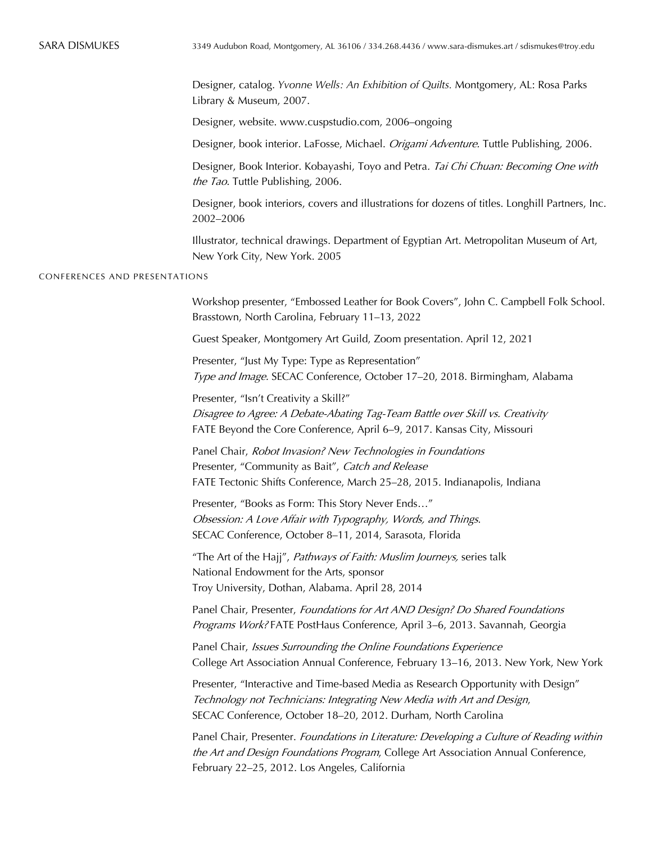Designer, catalog. *Yvonne Wells: An Exhibition of Quilts.* Montgomery, AL: Rosa Parks Library & Museum, 2007.

Designer, website. www.cuspstudio.com, 2006–ongoing

Designer, book interior. LaFosse, Michael. *Origami Adventure*. Tuttle Publishing, 2006.

Designer, Book Interior. Kobayashi, Toyo and Petra. Tai Chi Chuan: Becoming One with the Tao. Tuttle Publishing, 2006.

Designer, book interiors, covers and illustrations for dozens of titles. Longhill Partners, Inc. 2002–2006

Illustrator, technical drawings. Department of Egyptian Art. Metropolitan Museum of Art, New York City, New York. 2005

## CONFERENCES AND PRESENTATIONS

Workshop presenter, "Embossed Leather for Book Covers", John C. Campbell Folk School. Brasstown, North Carolina, February 11–13, 2022

Guest Speaker, Montgomery Art Guild, Zoom presentation. April 12, 2021

Presenter, "Just My Type: Type as Representation" Type and Image. SECAC Conference, October 17–20, 2018. Birmingham, Alabama

Presenter, "Isn't Creativity a Skill?" Disagree to Agree: A Debate-Abating Tag-Team Battle over Skill vs. Creativity FATE Beyond the Core Conference, April 6–9, 2017. Kansas City, Missouri

Panel Chair, Robot Invasion? New Technologies in Foundations Presenter, "Community as Bait", Catch and Release FATE Tectonic Shifts Conference, March 25–28, 2015. Indianapolis, Indiana

Presenter, "Books as Form: This Story Never Ends…" Obsession: A Love Affair with Typography, Words, and Things. SECAC Conference, October 8–11, 2014, Sarasota, Florida

"The Art of the Hajj", *Pathways of Faith: Muslim Journeys*, series talk National Endowment for the Arts, sponsor Troy University, Dothan, Alabama. April 28, 2014

Panel Chair, Presenter, Foundations for Art AND Design? Do Shared Foundations Programs Work? FATE PostHaus Conference, April 3–6, 2013. Savannah, Georgia

Panel Chair, Issues Surrounding the Online Foundations Experience College Art Association Annual Conference, February 13–16, 2013. New York, New York

Presenter, "Interactive and Time-based Media as Research Opportunity with Design" Technology not Technicians: Integrating New Media with Art and Design, SECAC Conference, October 18–20, 2012. Durham, North Carolina

Panel Chair, Presenter. Foundations in Literature: Developing a Culture of Reading within the Art and Design Foundations Program, College Art Association Annual Conference, February 22–25, 2012. Los Angeles, California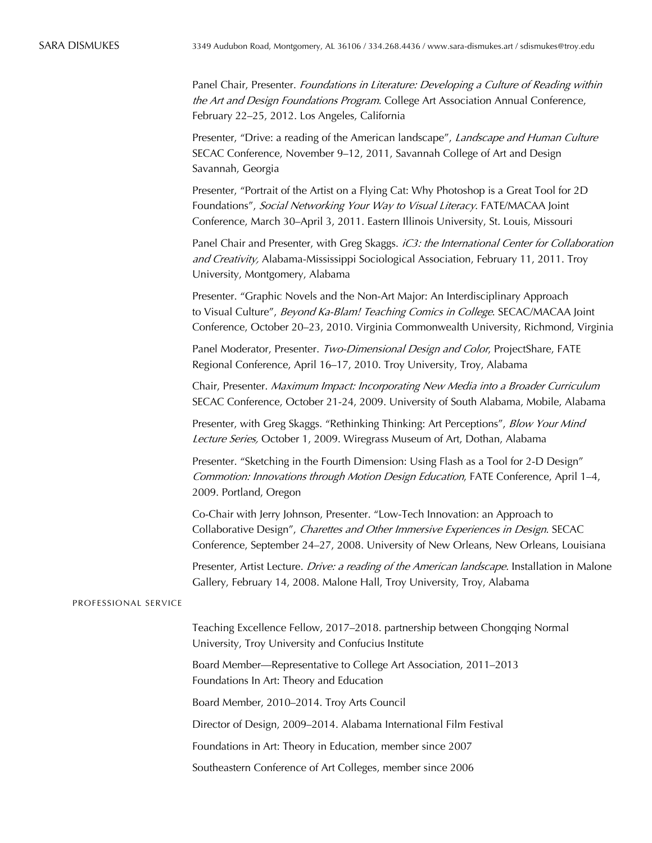Panel Chair, Presenter. Foundations in Literature: Developing a Culture of Reading within the Art and Design Foundations Program. College Art Association Annual Conference, February 22–25, 2012. Los Angeles, California

Presenter, "Drive: a reading of the American landscape", Landscape and Human Culture SECAC Conference, November 9–12, 2011, Savannah College of Art and Design Savannah, Georgia

Presenter, "Portrait of the Artist on a Flying Cat: Why Photoshop is a Great Tool for 2D Foundations", Social Networking Your Way to Visual Literacy. FATE/MACAA Joint Conference, March 30–April 3, 2011. Eastern Illinois University, St. Louis, Missouri

Panel Chair and Presenter, with Greg Skaggs. iC3: the International Center for Collaboration and Creativity, Alabama-Mississippi Sociological Association, February 11, 2011. Troy University, Montgomery, Alabama

Presenter. "Graphic Novels and the Non-Art Major: An Interdisciplinary Approach to Visual Culture", Beyond Ka-Blam! Teaching Comics in College. SECAC/MACAA Joint Conference, October 20–23, 2010. Virginia Commonwealth University, Richmond, Virginia

Panel Moderator, Presenter. Two-Dimensional Design and Color, ProjectShare, FATE Regional Conference, April 16–17, 2010. Troy University, Troy, Alabama

Chair, Presenter. Maximum Impact: Incorporating New Media into a Broader Curriculum SECAC Conference, October 21-24, 2009. University of South Alabama, Mobile, Alabama

Presenter, with Greg Skaggs. "Rethinking Thinking: Art Perceptions", Blow Your Mind Lecture Series, October 1, 2009. Wiregrass Museum of Art, Dothan, Alabama

Presenter. "Sketching in the Fourth Dimension: Using Flash as a Tool for 2-D Design" Commotion: Innovations through Motion Design Education, FATE Conference, April 1–4, 2009. Portland, Oregon

Co-Chair with Jerry Johnson, Presenter. "Low-Tech Innovation: an Approach to Collaborative Design", Charettes and Other Immersive Experiences in Design. SECAC Conference, September 24–27, 2008. University of New Orleans, New Orleans, Louisiana

Presenter, Artist Lecture. *Drive: a reading of the American landscape*. Installation in Malone Gallery, February 14, 2008. Malone Hall, Troy University, Troy, Alabama

## PROFESSIONAL SERVICE

Teaching Excellence Fellow, 2017–2018. partnership between Chongqing Normal University, Troy University and Confucius Institute

Board Member—Representative to College Art Association, 2011–2013 Foundations In Art: Theory and Education

Board Member, 2010–2014. Troy Arts Council

Director of Design, 2009–2014. Alabama International Film Festival

Foundations in Art: Theory in Education, member since 2007

Southeastern Conference of Art Colleges, member since 2006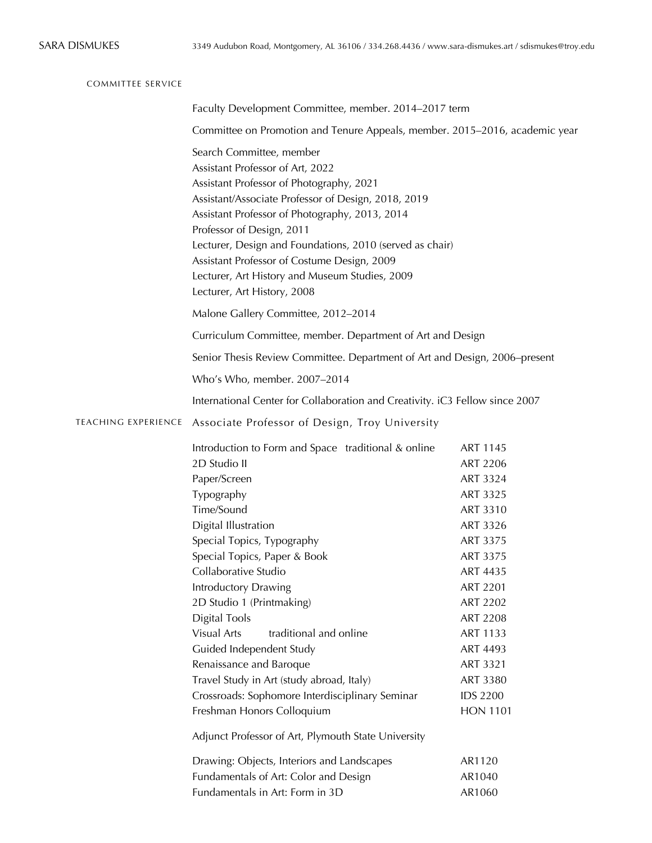| <b>COMMITTEE SERVICE</b>                                                     |                                                                                                                                                                                                                                                                                                                                                                                                                                                                                                                                                 |                                                                                                                                                                                                                                                                       |  |  |
|------------------------------------------------------------------------------|-------------------------------------------------------------------------------------------------------------------------------------------------------------------------------------------------------------------------------------------------------------------------------------------------------------------------------------------------------------------------------------------------------------------------------------------------------------------------------------------------------------------------------------------------|-----------------------------------------------------------------------------------------------------------------------------------------------------------------------------------------------------------------------------------------------------------------------|--|--|
|                                                                              | Faculty Development Committee, member. 2014–2017 term                                                                                                                                                                                                                                                                                                                                                                                                                                                                                           |                                                                                                                                                                                                                                                                       |  |  |
|                                                                              | Committee on Promotion and Tenure Appeals, member. 2015–2016, academic year                                                                                                                                                                                                                                                                                                                                                                                                                                                                     |                                                                                                                                                                                                                                                                       |  |  |
|                                                                              | Search Committee, member<br>Assistant Professor of Art, 2022<br>Assistant Professor of Photography, 2021<br>Assistant/Associate Professor of Design, 2018, 2019<br>Assistant Professor of Photography, 2013, 2014<br>Professor of Design, 2011<br>Lecturer, Design and Foundations, 2010 (served as chair)<br>Assistant Professor of Costume Design, 2009<br>Lecturer, Art History and Museum Studies, 2009<br>Lecturer, Art History, 2008                                                                                                      |                                                                                                                                                                                                                                                                       |  |  |
|                                                                              | Malone Gallery Committee, 2012-2014                                                                                                                                                                                                                                                                                                                                                                                                                                                                                                             |                                                                                                                                                                                                                                                                       |  |  |
|                                                                              | Curriculum Committee, member. Department of Art and Design                                                                                                                                                                                                                                                                                                                                                                                                                                                                                      |                                                                                                                                                                                                                                                                       |  |  |
|                                                                              | Senior Thesis Review Committee. Department of Art and Design, 2006–present                                                                                                                                                                                                                                                                                                                                                                                                                                                                      |                                                                                                                                                                                                                                                                       |  |  |
|                                                                              | Who's Who, member. 2007-2014                                                                                                                                                                                                                                                                                                                                                                                                                                                                                                                    |                                                                                                                                                                                                                                                                       |  |  |
| International Center for Collaboration and Creativity. iC3 Fellow since 2007 |                                                                                                                                                                                                                                                                                                                                                                                                                                                                                                                                                 |                                                                                                                                                                                                                                                                       |  |  |
| <b>TEACHING EXPERIENCE</b>                                                   | Associate Professor of Design, Troy University                                                                                                                                                                                                                                                                                                                                                                                                                                                                                                  |                                                                                                                                                                                                                                                                       |  |  |
|                                                                              | Introduction to Form and Space traditional & online<br>2D Studio II<br>Paper/Screen<br>Typography<br>Time/Sound<br>Digital Illustration<br>Special Topics, Typography<br>Special Topics, Paper & Book<br>Collaborative Studio<br><b>Introductory Drawing</b><br>2D Studio 1 (Printmaking)<br><b>Digital Tools</b><br>Visual Arts<br>traditional and online<br>Guided Independent Study<br>Renaissance and Baroque<br>Travel Study in Art (study abroad, Italy)<br>Crossroads: Sophomore Interdisciplinary Seminar<br>Freshman Honors Colloquium | ART 1145<br>ART 2206<br>ART 3324<br>ART 3325<br>ART 3310<br>ART 3326<br>ART 3375<br><b>ART 3375</b><br>ART 4435<br><b>ART 2201</b><br><b>ART 2202</b><br><b>ART 2208</b><br><b>ART 1133</b><br>ART 4493<br>ART 3321<br>ART 3380<br><b>IDS 2200</b><br><b>HON 1101</b> |  |  |
|                                                                              | Adjunct Professor of Art, Plymouth State University<br>Drawing: Objects, Interiors and Landscapes<br>Fundamentals of Art: Color and Design<br>Fundamentals in Art: Form in 3D                                                                                                                                                                                                                                                                                                                                                                   | AR1120<br>AR1040<br>AR1060                                                                                                                                                                                                                                            |  |  |
|                                                                              |                                                                                                                                                                                                                                                                                                                                                                                                                                                                                                                                                 |                                                                                                                                                                                                                                                                       |  |  |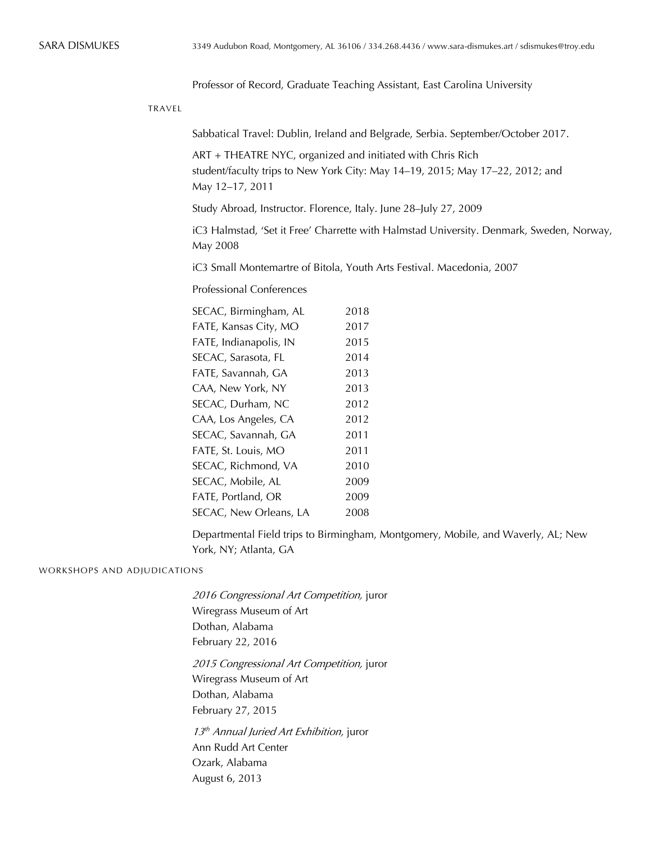Professor of Record, Graduate Teaching Assistant, East Carolina University

TRAVEL

Sabbatical Travel: Dublin, Ireland and Belgrade, Serbia. September/October 2017.

ART + THEATRE NYC, organized and initiated with Chris Rich student/faculty trips to New York City: May 14–19, 2015; May 17–22, 2012; and May 12–17, 2011

Study Abroad, Instructor. Florence, Italy. June 28–July 27, 2009

iC3 Halmstad, 'Set it Free' Charrette with Halmstad University. Denmark, Sweden, Norway, May 2008

iC3 Small Montemartre of Bitola, Youth Arts Festival. Macedonia, 2007

Professional Conferences

| SECAC, Birmingham, AL  | 2018 |
|------------------------|------|
| FATE, Kansas City, MO  | 2017 |
| FATE, Indianapolis, IN | 2015 |
| SECAC, Sarasota, FL    | 2014 |
| FATE, Savannah, GA     | 2013 |
| CAA, New York, NY      | 2013 |
| SECAC, Durham, NC      | 2012 |
| CAA, Los Angeles, CA   | 2012 |
| SECAC, Savannah, GA    | 2011 |
| FATE, St. Louis, MO    | 2011 |
| SECAC, Richmond, VA    | 2010 |
| SECAC, Mobile, AL      | 2009 |
| FATE, Portland, OR     | 2009 |
| SECAC, New Orleans, LA | 2008 |
|                        |      |

Departmental Field trips to Birmingham, Montgomery, Mobile, and Waverly, AL; New York, NY; Atlanta, GA

## WORKSHOPS AND ADJUDICATIONS

2016 Congressional Art Competition, juror Wiregrass Museum of Art Dothan, Alabama February 22, 2016

2015 Congressional Art Competition, juror Wiregrass Museum of Art Dothan, Alabama February 27, 2015

 $13<sup>th</sup>$  Annual Juried Art Exhibition, juror Ann Rudd Art Center Ozark, Alabama August 6, 2013